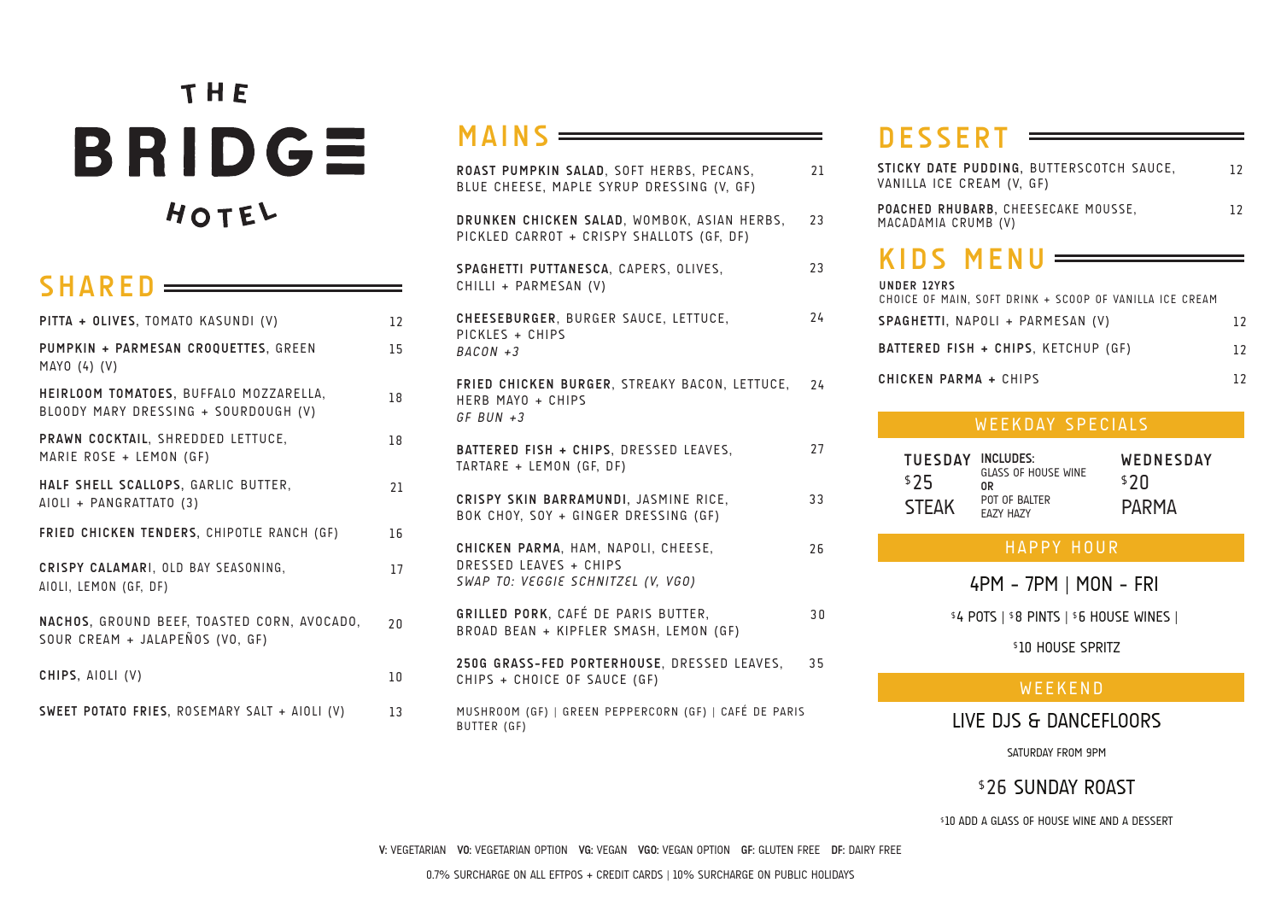# THE BRIDGE HOTEL

# **SHARED**

| PITTA + OLIVES, TOMATO KASUNDI (V)                                             | 12 |
|--------------------------------------------------------------------------------|----|
| PUMPKIN + PARMESAN CROQUETTES, GREEN<br>MAYO (4) (V)                           | 15 |
| HEIRLOOM TOMATOES, BUFFALO MOZZARELLA,<br>BLOODY MARY DRESSING + SOURDOUGH (V) | 18 |
| PRAWN COCKTAIL, SHREDDED LETTUCE,<br>MARIE ROSE + LEMON (GF)                   | 18 |
| HALF SHELL SCALLOPS, GARLIC BUTTER,<br>AIOLI + PANGRATTATO (3)                 | 21 |
| FRIED CHICKEN TENDERS, CHIPOTLE RANCH (GF)                                     | 16 |
| CRISPY CALAMARI, OLD BAY SEASONING,<br>AIOLI, LEMON (GF, DF)                   | 17 |
| NACHOS, GROUND BEEF, TOASTED CORN, AVOCADO,<br>SOUR CREAM + JALAPEÑOS (VO, GF) | 20 |
| CHIPS, AIOLI (V)                                                               | 10 |
| SWEET POTATO FRIES, ROSEMARY SALT + AIOLI (V)                                  | 13 |

# **MAINS**

| ROAST PUMPKIN SALAD, SOFT HERBS, PECANS,<br>BLUE CHEESE, MAPLE SYRUP DRESSING (V, GF)               | 21 |
|-----------------------------------------------------------------------------------------------------|----|
| DRUNKEN CHICKEN SALAD, WOMBOK, ASIAN HERBS,<br>PICKLED CARROT + CRISPY SHALLOTS (GF, DF)            | 23 |
| SPAGHETTI PUTTANESCA, CAPERS, OLIVES,<br>CHILLI + PARMESAN (V)                                      | 23 |
| CHEESEBURGER, BURGER SAUCE, LETTUCE,<br>PICKLES + CHIPS<br>$BACON + 3$                              | 24 |
| FRIED CHICKEN BURGER, STREAKY BACON, LETTUCE,<br>HERB MAYO + CHIPS<br>$GF$ BUN $+3$                 | 24 |
| BATTERED FISH + CHIPS, DRESSED LEAVES,<br>TARTARE + LEMON (GF. DF)                                  | 27 |
| CRISPY SKIN BARRAMUNDI, JASMINE RICE,<br>BOK CHOY, SOY + GINGER DRESSING (GF)                       | 33 |
| CHICKEN PARMA, HAM, NAPOLI, CHEESE,<br>DRESSED LEAVES + CHIPS<br>SWAP TO: VEGGIE SCHNITZEL (V, VGO) | 26 |
| GRILLED PORK, CAFÉ DE PARIS BUTTER,<br>BROAD BEAN + KIPFLER SMASH, LEMON (GF)                       | 30 |
| 250G GRASS-FED PORTERHOUSE, DRESSED LEAVES,<br>CHIPS + CHOICE OF SAUCE (GF)                         | 35 |

MUSHROOM (GF) | GREEN PEPPERCORN (GF) | CAFÉ DE PARIS BUTTER (GF)

# **DESSERT**

| STICKY DATE PUDDING. BUTTERSCOTCH SAUCE.<br>VANILLA ICE CREAM (V, GF)  | 12                |
|------------------------------------------------------------------------|-------------------|
| POACHED RHUBARB, CHEESECAKE MOUSSE,<br>MACADAMIA CRUMB (V)             | $12 \overline{ }$ |
| KIDS MENU $=$                                                          |                   |
| UNDER 12YRS<br>CHOICE OF MAIN. SOFT DRINK + SCOOP OF VANILLA ICE CREAM |                   |
| SPAGHETTI, NAPOLI + PARMESAN (V)                                       | 12                |
| BATTERED FISH + CHIPS. KETCHUP (GF)                                    | 12                |
| CHICKEN PARMA + CHIPS                                                  |                   |

#### WEEKDAY SPECIALS

| <b>TUESDAY</b> | INCLUDES:                  | WEDNESDAY |
|----------------|----------------------------|-----------|
| \$25           | GLASS OF HOUSE WINE<br>0R  | ≸7Ո       |
| <b>STEAK</b>   | POT OF BAITER<br>ΕΔΖΥ ΗΔΖΥ | PARMA     |

#### HAPPY HOUR

4PM - 7PM | MON - FRI

\$ 4 POTS | \$ 8 PINTS | \$ 6 HOUSE WINES |

**\$10 HOUSE SPRITZ** 

### WEEKEND

LIVE DJS & DANCEFLOORS

SATURDAY FROM 9PM

**\$26 SUNDAY ROAST** 

\$ 10 ADD A GLASS OF HOUSE WINE AND A DESSERT

**V:** VEGETARIAN **VO:** VEGETARIAN OPTION **VG:** VEGAN **VGO:** VEGAN OPTION **GF:** GLUTEN FREE **DF:** DAIRY FREE